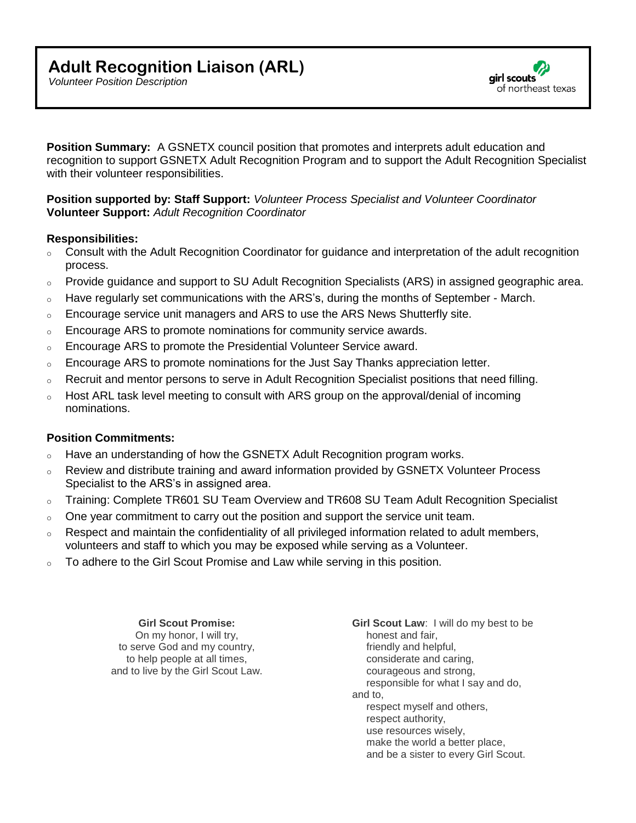airl scouts of northeast texas

*Volunteer Position Description*

**Position Summary:** A GSNETX council position that promotes and interprets adult education and recognition to support GSNETX Adult Recognition Program and to support the Adult Recognition Specialist with their volunteer responsibilities.

## **Position supported by: Staff Support:** *Volunteer Process Specialist and Volunteer Coordinator*  **Volunteer Support:** *Adult Recognition Coordinator*

## **Responsibilities:**

- o Consult with the Adult Recognition Coordinator for guidance and interpretation of the adult recognition process.
- o Provide guidance and support to SU Adult Recognition Specialists (ARS) in assigned geographic area.
- $\circ$  Have regularly set communications with the ARS's, during the months of September March.
- o Encourage service unit managers and ARS to use the ARS News Shutterfly site.
- $\circ$  Encourage ARS to promote nominations for community service awards.
- $\circ$  Encourage ARS to promote the Presidential Volunteer Service award.
- $\circ$  Encourage ARS to promote nominations for the Just Say Thanks appreciation letter.
- $\circ$  Recruit and mentor persons to serve in Adult Recognition Specialist positions that need filling.
- $\circ$  Host ARL task level meeting to consult with ARS group on the approval/denial of incoming nominations.

## **Position Commitments:**

- $\circ$  Have an understanding of how the GSNETX Adult Recognition program works.
- o Review and distribute training and award information provided by GSNETX Volunteer Process Specialist to the ARS's in assigned area.
- o Training: Complete TR601 SU Team Overview and TR608 SU Team Adult Recognition Specialist
- $\circ$  One year commitment to carry out the position and support the service unit team.
- o Respect and maintain the confidentiality of all privileged information related to adult members, volunteers and staff to which you may be exposed while serving as a Volunteer.
- $\circ$  To adhere to the Girl Scout Promise and Law while serving in this position.

**Girl Scout Promise:**  On my honor, I will try, to serve God and my country, to help people at all times, and to live by the Girl Scout Law. **Girl Scout Law**: I will do my best to be honest and fair, friendly and helpful, considerate and caring, courageous and strong, responsible for what I say and do, and to, respect myself and others, respect authority, use resources wisely, make the world a better place, and be a sister to every Girl Scout.